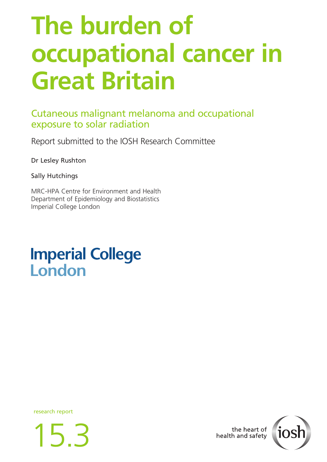# **The burden of occupational cancer in Great Britain**

### Cutaneous malignant melanoma and occupational exposure to solar radiation

Report submitted to the IOSH Research Committee

Dr Lesley Rushton

Sally Hutchings

MRC-HPA Centre for Environment and Health Department of Epidemiology and Biostatistics Imperial College London

## **Imperial College** London

research report





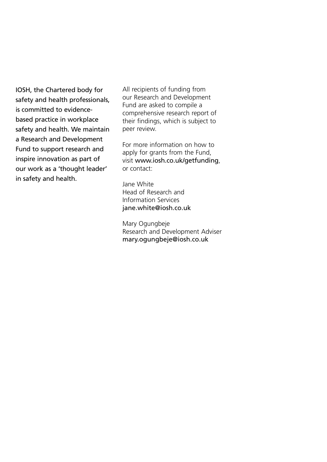IOSH, the Chartered body for safety and health professionals, is committed to evidencebased practice in workplace safety and health. We maintain a Research and Development Fund to support research and inspire innovation as part of our work as a 'thought leader' in safety and health.

All recipients of funding from our Research and Development Fund are asked to compile a comprehensive research report of their findings, which is subject to peer review.

For more information on how to apply for grants from the Fund, visit www.iosh.co.uk/getfunding, or contact:

Jane White Head of Research and Information Services jane.white@iosh.co.uk

Mary Ogungbeje Research and Development Adviser mary.ogungbeje@iosh.co.uk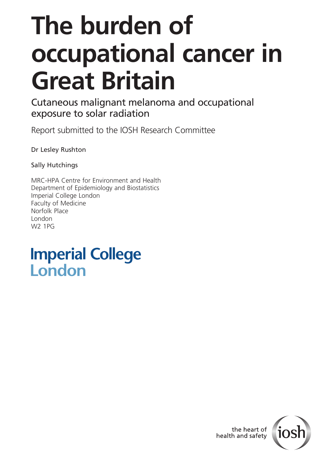# **The burden of occupational cancer in Great Britain**

Cutaneous malignant melanoma and occupational exposure to solar radiation

Report submitted to the IOSH Research Committee

Dr Lesley Rushton

Sally Hutchings

MRC-HPA Centre for Environment and Health Department of Epidemiology and Biostatistics Imperial College London Faculty of Medicine Norfolk Place London W2 1PG

## **Imperial College** London

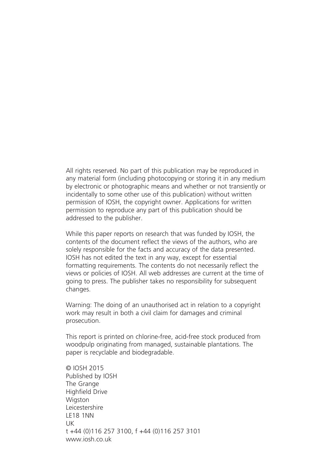All rights reserved. No part of this publication may be reproduced in any material form (including photocopying or storing it in any medium by electronic or photographic means and whether or not transiently or incidentally to some other use of this publication) without written permission of IOSH, the copyright owner. Applications for written permission to reproduce any part of this publication should be addressed to the publisher.

While this paper reports on research that was funded by IOSH, the contents of the document reflect the views of the authors, who are solely responsible for the facts and accuracy of the data presented. IOSH has not edited the text in any way, except for essential formatting requirements. The contents do not necessarily reflect the views or policies of IOSH. All web addresses are current at the time of going to press. The publisher takes no responsibility for subsequent changes.

Warning: The doing of an unauthorised act in relation to a copyright work may result in both a civil claim for damages and criminal prosecution.

This report is printed on chlorine-free, acid-free stock produced from woodpulp originating from managed, sustainable plantations. The paper is recyclable and biodegradable.

© IOSH 2015 Published by IOSH The Grange Highfield Drive **Wigston** Leicestershire LE18 1NN UK t +44 (0)116 257 3100, f +44 (0)116 257 3101 www.iosh.co.uk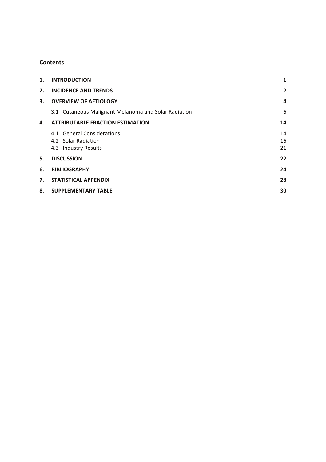#### **Contents**

| 1. | <b>INTRODUCTION</b>                                                       | 1              |
|----|---------------------------------------------------------------------------|----------------|
| 2. | <b>INCIDENCE AND TRENDS</b>                                               | $\overline{2}$ |
| 3. | <b>OVERVIEW OF AETIOLOGY</b>                                              | 4              |
|    | 3.1 Cutaneous Malignant Melanoma and Solar Radiation                      | 6              |
| 4. | <b>ATTRIBUTABLE FRACTION ESTIMATION</b>                                   | 14             |
|    | 4.1 General Considerations<br>4.2 Solar Radiation<br>4.3 Industry Results | 14<br>16<br>21 |
| 5. | <b>DISCUSSION</b>                                                         | 22             |
| 6. | <b>BIBLIOGRAPHY</b>                                                       | 24             |
| 7. | <b>STATISTICAL APPENDIX</b>                                               | 28             |
| 8. | <b>SUPPLEMENTARY TABLE</b>                                                | 30             |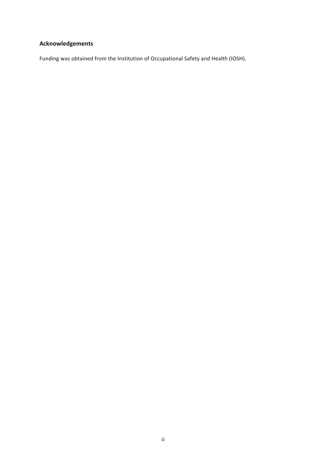### **Acknowledgements**

Funding was obtained from the Institution of Occupational Safety and Health (IOSH).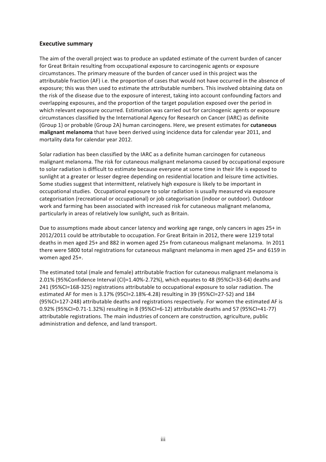#### **Executive summary**

The aim of the overall project was to produce an updated estimate of the current burden of cancer for Great Britain resulting from occupational exposure to carcinogenic agents or exposure circumstances. The primary measure of the burden of cancer used in this project was the attributable fraction (AF) i.e. the proportion of cases that would not have occurred in the absence of exposure; this was then used to estimate the attributable numbers. This involved obtaining data on the risk of the disease due to the exposure of interest, taking into account confounding factors and overlapping exposures, and the proportion of the target population exposed over the period in which relevant exposure occurred. Estimation was carried out for carcinogenic agents or exposure circumstances classified by the International Agency for Research on Cancer (IARC) as definite (Group 1) or probable (Group 2A) human carcinogens. Here, we present estimates for **cutaneous malignant melanoma** that have been derived using incidence data for calendar year 2011, and mortality data for calendar year 2012.

Solar radiation has been classified by the IARC as a definite human carcinogen for cutaneous malignant melanoma. The risk for cutaneous malignant melanoma caused by occupational exposure to solar radiation is difficult to estimate because everyone at some time in their life is exposed to sunlight at a greater or lesser degree depending on residential location and leisure time activities. Some studies suggest that intermittent, relatively high exposure is likely to be important in occupational studies. Occupational exposure to solar radiation is usually measured via exposure categorisation (recreational or occupational) or job categorisation (indoor or outdoor). Outdoor work and farming has been associated with increased risk for cutaneous malignant melanoma, particularly in areas of relatively low sunlight, such as Britain.

Due to assumptions made about cancer latency and working age range, only cancers in ages 25+ in 2012/2011 could be attributable to occupation. For Great Britain in 2012, there were 1219 total deaths in men aged 25+ and 882 in women aged 25+ from cutaneous malignant melanoma. In 2011 there were 5800 total registrations for cutaneous malignant melanoma in men aged 25+ and 6159 in women aged 25+.

The estimated total (male and female) attributable fraction for cutaneous malignant melanoma is 2.01% (95%Confidence Interval (CI)=1.40%-2.72%), which equates to 48 (95%CI=33-64) deaths and 241 (95%CI=168-325) registrations attributable to occupational exposure to solar radiation. The estimated AF for men is 3.17% (95CI=2.18%-4.28) resulting in 39 (95%CI=27-52) and 184 (95%CI=127-248) attributable deaths and registrations respectively. For women the estimated AF is 0.92% (95%CI=0.71-1.32%) resulting in 8 (95%CI=6-12) attributable deaths and 57 (95%CI=41-77) attributable registrations. The main industries of concern are construction, agriculture, public administration and defence, and land transport.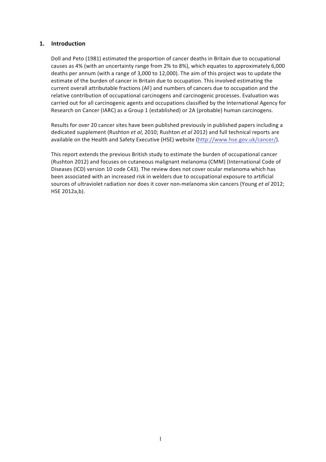#### **1. Introduction**

Doll and Peto (1981) estimated the proportion of cancer deaths in Britain due to occupational causes as 4% (with an uncertainty range from 2% to 8%), which equates to approximately 6,000 deaths per annum (with a range of 3,000 to 12,000). The aim of this project was to update the estimate of the burden of cancer in Britain due to occupation. This involved estimating the current overall attributable fractions (AF) and numbers of cancers due to occupation and the relative contribution of occupational carcinogens and carcinogenic processes. Evaluation was carried out for all carcinogenic agents and occupations classified by the International Agency for Research on Cancer (IARC) as a Group 1 (established) or 2A (probable) human carcinogens.

Results for over 20 cancer sites have been published previously in published papers including a dedicated supplement (Rushton *et al*, 2010; Rushton *et al* 2012) and full technical reports are available on the Health and Safety Executive (HSE) website (http://www.hse.gov.uk/cancer/).

This report extends the previous British study to estimate the burden of occupational cancer (Rushton 2012) and focuses on cutaneous malignant melanoma (CMM) (International Code of Diseases (ICD) version 10 code C43). The review does not cover ocular melanoma which has been associated with an increased risk in welders due to occupational exposure to artificial sources of ultraviolet radiation nor does it cover non-melanoma skin cancers (Young et al 2012; HSE 2012a,b).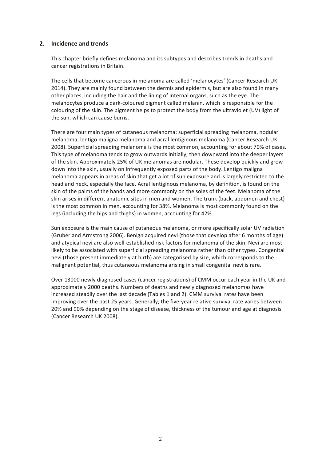#### **2. Incidence and trends**

This chapter briefly defines melanoma and its subtypes and describes trends in deaths and cancer registrations in Britain.

The cells that become cancerous in melanoma are called 'melanocytes' (Cancer Research UK 2014). They are mainly found between the dermis and epidermis, but are also found in many other places, including the hair and the lining of internal organs, such as the eye. The melanocytes produce a dark-coloured pigment called melanin, which is responsible for the colouring of the skin. The pigment helps to protect the body from the ultraviolet (UV) light of the sun, which can cause burns.

There are four main types of cutaneous melanoma: superficial spreading melanoma, nodular melanoma, lentigo maligna melanoma and acral lentiginous melanoma (Cancer Research UK 2008). Superficial spreading melanoma is the most common, accounting for about 70% of cases. This type of melanoma tends to grow outwards initially, then downward into the deeper layers of the skin. Approximately 25% of UK melanomas are nodular. These develop quickly and grow down into the skin, usually on infrequently exposed parts of the body. Lentigo maligna melanoma appears in areas of skin that get a lot of sun exposure and is largely restricted to the head and neck, especially the face. Acral lentiginous melanoma, by definition, is found on the skin of the palms of the hands and more commonly on the soles of the feet. Melanoma of the skin arises in different anatomic sites in men and women. The trunk (back, abdomen and chest) is the most common in men, accounting for 38%. Melanoma is most commonly found on the legs (including the hips and thighs) in women, accounting for 42%.

Sun exposure is the main cause of cutaneous melanoma, or more specifically solar UV radiation (Gruber and Armstrong 2006). Benign acquired nevi (those that develop after 6 months of age) and atypical nevi are also well-established risk factors for melanoma of the skin. Nevi are most likely to be associated with superficial spreading melanoma rather than other types. Congenital nevi (those present immediately at birth) are categorised by size, which corresponds to the malignant potential, thus cutaneous melanoma arising in small congenital nevi is rare.

Over 13000 newly diagnosed cases (cancer registrations) of CMM occur each year in the UK and approximately 2000 deaths. Numbers of deaths and newly diagnosed melanomas have increased steadily over the last decade (Tables 1 and 2). CMM survival rates have been improving over the past 25 years. Generally, the five-year relative survival rate varies between 20% and 90% depending on the stage of disease, thickness of the tumour and age at diagnosis (Cancer Research UK 2008).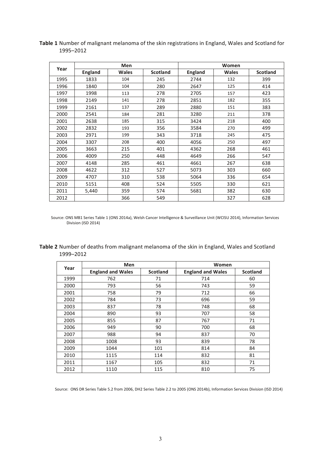|      |                | <b>Men</b>   |                 | Women          |              |                 |  |
|------|----------------|--------------|-----------------|----------------|--------------|-----------------|--|
| Year | <b>England</b> | <b>Wales</b> | <b>Scotland</b> | <b>England</b> | <b>Wales</b> | <b>Scotland</b> |  |
| 1995 | 1833           | 104          | 245             | 2744           | 132          | 399             |  |
| 1996 | 1840           | 104          | 280             | 2647           | 125          | 414             |  |
| 1997 | 1998           | 113          | 278             | 2705           | 157          | 423             |  |
| 1998 | 2149           | 141          | 278             | 2851           | 182          | 355             |  |
| 1999 | 2161           | 137          | 289             | 2880           | 151          | 383             |  |
| 2000 | 2541           | 184          | 281             | 3280           | 211          | 378             |  |
| 2001 | 2638           | 185          | 315             | 3424           | 218          | 400             |  |
| 2002 | 2832           | 193          | 356             | 3584           | 270          | 499             |  |
| 2003 | 2971           | 199          | 343             | 3718           | 245          | 475             |  |
| 2004 | 3307           | 208          | 400             | 4056           | 250          | 497             |  |
| 2005 | 3663           | 215          | 401             | 4362           | 268          | 461             |  |
| 2006 | 4009           | 250          | 448             | 4649           | 266          | 547             |  |
| 2007 | 4148           | 285          | 461             | 4661           | 267          | 638             |  |
| 2008 | 4622           | 312          | 527             | 5073           | 303          | 660             |  |
| 2009 | 4707           | 310          | 538             | 5064           | 336          | 654             |  |
| 2010 | 5151           | 408          | 524             | 5505           | 330          | 621             |  |
| 2011 | 5,440          | 359          | 574             | 5681           | 382          | 630             |  |
| 2012 |                | 366          | 549             |                | 327          | 628             |  |

Table 1 Number of malignant melanoma of the skin registrations in England, Wales and Scotland for 1995–2012

Source: ONS MB1 Series Table 1 (ONS 2014a), Welsh Cancer Intelligence & Surveillance Unit (WCISU 2014), Information Services Division (ISD 2014)

| Table 2 Number of deaths from malignant melanoma of the skin in England, Wales and Scotland |  |  |
|---------------------------------------------------------------------------------------------|--|--|
| 1999–2012                                                                                   |  |  |

| Year | Men                      |                 | Women                    |                 |  |
|------|--------------------------|-----------------|--------------------------|-----------------|--|
|      | <b>England and Wales</b> | <b>Scotland</b> | <b>England and Wales</b> | <b>Scotland</b> |  |
| 1999 | 762                      | 71              | 714                      | 60              |  |
| 2000 | 793                      | 56              | 743                      | 59              |  |
| 2001 | 758                      | 79              | 712                      | 66              |  |
| 2002 | 784                      | 73              | 696                      | 59              |  |
| 2003 | 837                      | 78              | 748                      | 68              |  |
| 2004 | 890                      | 93              | 707                      | 58              |  |
| 2005 | 855                      | 87              | 767                      | 71              |  |
| 2006 | 949                      | 90              | 700                      | 68              |  |
| 2007 | 988                      | 94              | 837                      | 70              |  |
| 2008 | 1008                     | 93              | 839                      | 78              |  |
| 2009 | 1044                     | 101             | 814                      | 84              |  |
| 2010 | 1115                     | 114             | 832                      | 81              |  |
| 2011 | 1167                     | 105             | 832                      | 71              |  |
| 2012 | 1110                     | 115             | 810                      | 75              |  |

Source: ONS DR Series Table 5.2 from 2006, DH2 Series Table 2.2 to 2005 (ONS 2014b), Information Services Division (ISD 2014)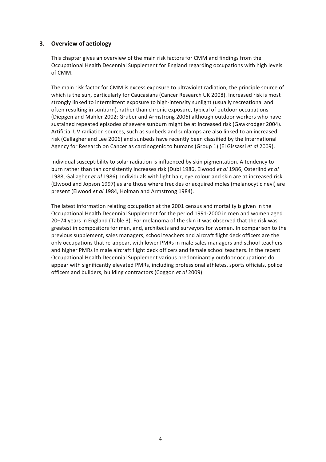#### **3. Overview of aetiology**

This chapter gives an overview of the main risk factors for CMM and findings from the Occupational Health Decennial Supplement for England regarding occupations with high levels of CMM.

The main risk factor for CMM is excess exposure to ultraviolet radiation, the principle source of which is the sun, particularly for Caucasians (Cancer Research UK 2008). Increased risk is most strongly linked to intermittent exposure to high-intensity sunlight (usually recreational and often resulting in sunburn), rather than chronic exposure, typical of outdoor occupations (Diepgen and Mahler 2002; Gruber and Armstrong 2006) although outdoor workers who have sustained repeated episodes of severe sunburn might be at increased risk (Gawkrodger 2004). Artificial UV radiation sources, such as sunbeds and sunlamps are also linked to an increased risk (Gallagher and Lee 2006) and sunbeds have recently been classified by the International Agency for Research on Cancer as carcinogenic to humans (Group 1) (El Gissassi et al 2009).

Individual susceptibility to solar radiation is influenced by skin pigmentation. A tendency to burn rather than tan consistently increases risk (Dubi 1986, Elwood *et al* 1986, Osterlind *et al* 1988, Gallagher et al 1986). Individuals with light hair, eye colour and skin are at increased risk (Elwood and Jopson 1997) as are those where freckles or acquired moles (melanocytic nevi) are present (Elwood et al 1984, Holman and Armstrong 1984).

The latest information relating occupation at the 2001 census and mortality is given in the Occupational Health Decennial Supplement for the period 1991-2000 in men and women aged 20–74 years in England (Table 3). For melanoma of the skin it was observed that the risk was greatest in compositors for men, and, architects and surveyors for women. In comparison to the previous supplement, sales managers, school teachers and aircraft flight deck officers are the only occupations that re-appear, with lower PMRs in male sales managers and school teachers and higher PMRs in male aircraft flight deck officers and female school teachers. In the recent Occupational Health Decennial Supplement various predominantly outdoor occupations do appear with significantly elevated PMRs, including professional athletes, sports officials, police officers and builders, building contractors (Coggon et al 2009).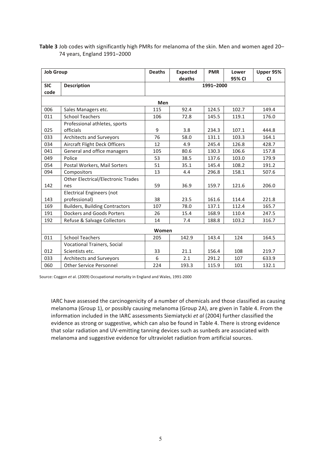Table 3 Job codes with significantly high PMRs for melanoma of the skin. Men and women aged 20-74 years, England 1991–2000

| <b>Job Group</b> |                                           | <b>Deaths</b> | <b>Expected</b><br>deaths | <b>PMR</b> | Lower  | Upper 95% |
|------------------|-------------------------------------------|---------------|---------------------------|------------|--------|-----------|
| <b>SIC</b>       |                                           |               |                           |            | 95% CI | <b>CI</b> |
| code             | <b>Description</b>                        |               |                           | 1991-2000  |        |           |
|                  |                                           |               |                           |            |        |           |
|                  |                                           | Men           |                           |            |        |           |
| 006              | Sales Managers etc.                       | 115           | 92.4                      | 124.5      | 102.7  | 149.4     |
| 011              | <b>School Teachers</b>                    | 106           | 72.8                      | 145.5      | 119.1  | 176.0     |
|                  | Professional athletes, sports             |               |                           |            |        |           |
| 025              | officials                                 | 9             | 3.8                       | 234.3      | 107.1  | 444.8     |
| 033              | <b>Architects and Surveyors</b>           | 76            | 58.0                      | 131.1      | 103.3  | 164.1     |
| 034              | <b>Aircraft Flight Deck Officers</b>      | 12            | 4.9                       | 245.4      | 126.8  | 428.7     |
| 041              | General and office managers               | 105           | 80.6                      | 130.3      | 106.6  | 157.8     |
| 049              | Police                                    | 53            | 38.5                      | 137.6      | 103.0  | 179.9     |
| 054              | Postal Workers, Mail Sorters              | 51            | 35.1                      | 145.4      | 108.2  | 191.2     |
| 094              | Compositors                               | 13            | 4.4                       | 296.8      | 158.1  | 507.6     |
|                  | <b>Other Electrical/Electronic Trades</b> |               |                           |            |        |           |
| 142              | nes                                       | 59            | 36.9                      | 159.7      | 121.6  | 206.0     |
|                  | <b>Electrical Engineers (not</b>          |               |                           |            |        |           |
| 143              | professional)                             | 38            | 23.5                      | 161.6      | 114.4  | 221.8     |
| 169              | <b>Builders, Building Contractors</b>     | 107           | 78.0                      | 137.1      | 112.4  | 165.7     |
| 191              | <b>Dockers and Goods Porters</b>          | 26            | 15.4                      | 168.9      | 110.4  | 247.5     |
| 192              | Refuse & Salvage Collectors               | 14            | 7.4                       | 188.8      | 103.2  | 316.7     |
|                  |                                           | Women         |                           |            |        |           |
| 011              | <b>School Teachers</b>                    | 205           | 142.9                     | 143.4      | 124    | 164.5     |
|                  | <b>Vocational Trainers, Social</b>        |               |                           |            |        |           |
| 012              | Scientists etc.                           | 33            | 21.1                      | 156.4      | 108    | 219.7     |
| 033              | <b>Architects and Surveyors</b>           | 6             | 2.1                       | 291.2      | 107    | 633.9     |
| 060              | <b>Other Service Personnel</b>            | 224           | 193.3                     | 115.9      | 101    | 132.1     |

Source: Coggon et al. (2009) Occupational mortality in England and Wales, 1991-2000

IARC have assessed the carcinogenicity of a number of chemicals and those classified as causing melanoma (Group 1), or possibly causing melanoma (Group 2A), are given in Table 4. From the information included in the IARC assessments Siemiatycki et al (2004) further classified the evidence as strong or suggestive, which can also be found in Table 4. There is strong evidence that solar radiation and UV-emitting tanning devices such as sunbeds are associated with melanoma and suggestive evidence for ultraviolet radiation from artificial sources.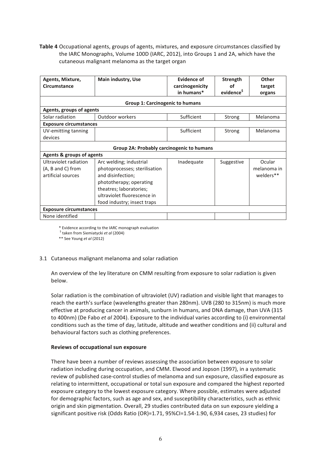**Table 4** Occupational agents, groups of agents, mixtures, and exposure circumstances classified by the IARC Monographs, Volume 100D (IARC, 2012), into Groups 1 and 2A, which have the cutaneous malignant melanoma as the target organ

| Agents, Mixture,<br><b>Circumstance</b> | Main industry, Use                        | Evidence of<br>carcinogenicity<br>in humans* | Strength<br>οf<br>evidence <sup>5</sup> | Other<br>target<br>organs |
|-----------------------------------------|-------------------------------------------|----------------------------------------------|-----------------------------------------|---------------------------|
|                                         | <b>Group 1: Carcinogenic to humans</b>    |                                              |                                         |                           |
| Agents, groups of agents                |                                           |                                              |                                         |                           |
| Solar radiation                         | Outdoor workers                           | Sufficient                                   | Strong                                  | Melanoma                  |
| <b>Exposure circumstances</b>           |                                           |                                              |                                         |                           |
| UV-emitting tanning                     |                                           | Sufficient                                   | Strong                                  | Melanoma                  |
| devices                                 |                                           |                                              |                                         |                           |
|                                         | Group 2A: Probably carcinogenic to humans |                                              |                                         |                           |
| <b>Agents &amp; groups of agents</b>    |                                           |                                              |                                         |                           |
| Ultraviolet radiation                   | Arc welding; industrial                   | Inadequate                                   | Suggestive                              | Ocular                    |
| (A, B and C) from                       | photoprocesses; sterilisation             |                                              |                                         | melanoma in               |
| artificial sources                      | and disinfection;                         |                                              |                                         | welders**                 |
|                                         | phototherapy; operating                   |                                              |                                         |                           |
|                                         | theatres; laboratories;                   |                                              |                                         |                           |
|                                         | ultraviolet fluorescence in               |                                              |                                         |                           |
|                                         | food industry; insect traps               |                                              |                                         |                           |
| <b>Exposure circumstances</b>           |                                           |                                              |                                         |                           |
| None identified                         |                                           |                                              |                                         |                           |

\* Evidence according to the IARC monograph evaluation

<sup>\$</sup> taken from Siemiatycki et al (2004)

\*\* See Young et al (2012)

#### 3.1 Cutaneous malignant melanoma and solar radiation

An overview of the ley literature on CMM resulting from exposure to solar radiation is given below.

Solar radiation is the combination of ultraviolet (UV) radiation and visible light that manages to reach the earth's surface (wavelengths greater than 280nm). UVB (280 to 315nm) is much more effective at producing cancer in animals, sunburn in humans, and DNA damage, than UVA (315) to 400nm) (De Fabo et al 2004). Exposure to the individual varies according to (i) environmental conditions such as the time of day, latitude, altitude and weather conditions and (ii) cultural and behavioural factors such as clothing preferences.

#### **Reviews of occupational sun exposure**

There have been a number of reviews assessing the association between exposure to solar radiation including during occupation, and CMM. Elwood and Jopson (1997), in a systematic review of published case-control studies of melanoma and sun exposure, classified exposure as relating to intermittent, occupational or total sun exposure and compared the highest reported exposure category to the lowest exposure category. Where possible, estimates were adjusted for demographic factors, such as age and sex, and susceptibility characteristics, such as ethnic origin and skin pigmentation. Overall, 29 studies contributed data on sun exposure vielding a significant positive risk (Odds Ratio (OR)=1.71,  $95\%$ CI=1.54-1.90, 6,934 cases, 23 studies) for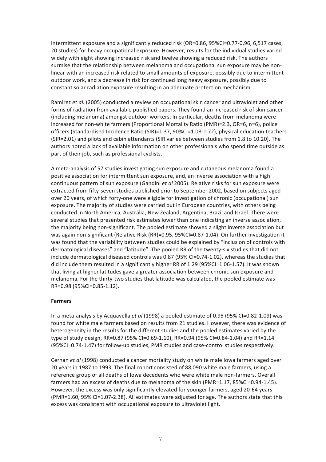intermittent exposure and a significantly reduced risk (OR=0.86, 95%CI=0.77-0.96, 6,517 cases, 20 studies) for heavy occupational exposure. However, results for the individual studies varied widely with eight showing increased risk and twelve showing a reduced risk. The authors surmise that the relationship between melanoma and occupational sun exposure may be nonlinear with an increased risk related to small amounts of exposure, possibly due to intermittent outdoor work, and a decrease in risk for continued long heavy exposure, possibly due to constant solar radiation exposure resulting in an adequate protection mechanism.

Ramirez et al. (2005) conducted a review on occupational skin cancer and ultraviolet and other forms of radiation from available published papers. They found an increased risk of skin cancer (including melanoma) amongst outdoor workers. In particular, deaths from melanoma were increased for non-white farmers (Proportional Mortality Ratio (PMR)=2.3, OR=6, n=6), police officers (Standardised Incidence Ratio (SIR)=1.37, 90%CI=1.08-1.72), physical education teachers (SIR=2.01) and pilots and cabin attendants (SIR varies between studies from 1.8 to 10.20). The authors noted a lack of available information on other professionals who spend time outside as part of their iob, such as professional cyclists.

A meta-analysis of 57 studies investigating sun exposure and cutaneous melanoma found a positive association for intermittent sun exposure, and, an inverse association with a high continuous pattern of sun exposure (Gandini et al 2005). Relative risks for sun exposure were extracted from fifty-seven studies published prior to September 2002, based on subjects aged over 20 years, of which forty-one were eligible for investigation of chronic (occupational) sun exposure. The majority of studies were carried out in European countries, with others being conducted in North America, Australia, New Zealand, Argentina, Brazil and Israel. There were several studies that presented risk estimates lower than one indicating an inverse association, the majority being non-significant. The pooled estimate showed a slight inverse association but was again non-significant (Relative Risk (RR)=0.95, 95%CI=0.87-1.04). On further investigation it was found that the variability between studies could be explained by "inclusion of controls with dermatological diseases" and "latitude". The pooled RR of the twenty-six studies that did not include dermatological diseased controls was  $0.87$  (95% CI=0.74-1.02), whereas the studies that did include them resulted in a significantly higher RR of 1.29 (95%CI=1.06-1.57). It was shown that living at higher latitudes gave a greater association between chronic sun exposure and melanoma. For the thirty-two studies that latitude was calculated, the pooled estimate was RR=0.98 (95%CI=0.85-1.12).

#### **Farmers**

In a meta-analysis by Acquavella *et al* (1998) a pooled estimate of 0.95 (95% CI=0.82-1.09) was found for white male farmers based on results from 21 studies. However, there was evidence of heterogeneity in the results for the different studies and the pooled estimates varied by the type of study design, RR=0.87 (95% CI=0.69-1.10), RR=0.94 (95% CI=0.84-1.04) and RR=1.14 (95%CI=0.74-1.47) for follow-up studies, PMR studies and case-control studies respectively.

Cerhan *et al* (1998) conducted a cancer mortality study on white male lowa farmers aged over 20 years in 1987 to 1993. The final cohort consisted of 88,090 white male farmers, using a reference group of all deaths of Iowa decedents who were white male non-farmers. Overall farmers had an excess of deaths due to melanoma of the skin (PMR=1.17, 85%CI=0.94-1.45). However, the excess was only significantly elevated for younger farmers, aged 20-64 years (PMR=1.60, 95% CI=1.07-2.38). All estimates were adjusted for age. The authors state that this excess was consistent with occupational exposure to ultraviolet light.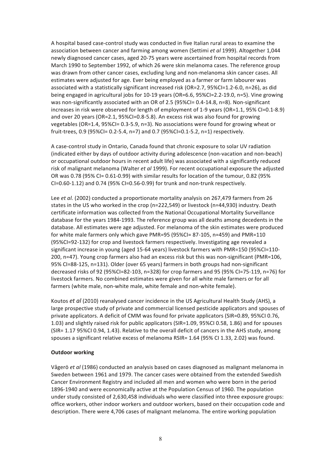A hospital based case-control study was conducted in five Italian rural areas to examine the association between cancer and farming among women (Settimi et al 1999). Altogether 1,044 newly diagnosed cancer cases, aged 20-75 years were ascertained from hospital records from March 1990 to September 1992, of which 26 were skin melanoma cases. The reference group was drawn from other cancer cases, excluding lung and non-melanoma skin cancer cases. All estimates were adjusted for age. Ever being employed as a farmer or farm labourer was associated with a statistically significant increased risk (OR=2.7, 95%CI=1.2-6.0, n=26), as did being engaged in agricultural jobs for 10-19 years (OR=6.6, 95%CI=2.2-19.0, n=5). Vine growing was non-significantly associated with an OR of 2.5 (95%CI= 0.4-14.8, n=8). Non-significant increases in risk were observed for length of employment of 1-9 years (OR=1.1, 95% CI=0.1-8.9) and over 20 years (OR=2.1, 95%CI=0.8-5.8). An excess risk was also found for growing vegetables  $(OR=1.4, 95\%CI= 0.3-5.9, n=3)$ . No associations were found for growing wheat or fruit-trees, 0.9 (95%CI= 0.2-5.4, n=7) and 0.7 (95%CI=0.1-5.2, n=1) respectively.

A case-control study in Ontario, Canada found that chronic exposure to solar UV radiation (indicated either by days of outdoor activity during adolescence (non-vacation and non-beach) or occupational outdoor hours in recent adult life) was associated with a significantly reduced risk of malignant melanoma (Walter *et al* 1999). For recent occupational exposure the adjusted OR was 0.78 (95% CI= 0.61-0.99) with similar results for location of the tumour, 0.82 (95% CI=0.60-1.12) and 0.74 (95% CI=0.56-0.99) for trunk and non-trunk respectively.

Lee *et al.* (2002) conducted a proportionate mortality analysis on 267,479 farmers from 26 states in the US who worked in the crop (n=222,549) or livestock (n=44,930) industry. Death certificate information was collected from the National Occupational Mortality Surveillance database for the years 1984-1993. The reference group was all deaths among decedents in the database. All estimates were age adjusted. For melanoma of the skin estimates were produced for white male farmers only which gave PMR=95 (95%CI= 87-105, n=459) and PMR=110 (95%CI=92-132) for crop and livestock farmers respectively. Investigating age revealed a significant increase in young (aged 15-64 years) livestock farmers with PMR=150 (95%CI=110-200, n=47). Young crop farmers also had an excess risk but this was non-significant (PMR=106, 95% CI=88-125, n=131). Older (over 65 years) farmers in both groups had non-significant decreased risks of 92 (95%CI=82-103, n=328) for crop farmers and 95 (95% CI=75-119, n=76) for livestock farmers. No combined estimates were given for all white male farmers or for all farmers (white male, non-white male, white female and non-white female).

Koutos *et al* (2010) reanalysed cancer incidence in the US Agricultural Health Study (AHS), a large prospective study of private and commercial licensed pesticide applicators and spouses of private applicators. A deficit of CMM was found for private applicators (SIR=0.89, 95%CI 0.76, 1.03) and slightly raised risk for public applicators (SIR=1.09, 95%CI 0.58, 1.86) and for spouses (SIR= 1.17 95%CI 0.94, 1.43). Relative to the overall deficit of cancers in the AHS study, among spouses a significant relative excess of melanoma RSIR= 1.64 (95% CI 1.33, 2.02) was found.

#### **Outdoor working**

Vågerö *et al* (1986) conducted an analysis based on cases diagnosed as malignant melanoma in Sweden between 1961 and 1979. The cancer cases were obtained from the extended Swedish Cancer Environment Registry and included all men and women who were born in the period 1896-1940 and were economically active at the Population Census of 1960. The population under study consisted of 2,630,458 individuals who were classified into three exposure groups: office workers, other indoor workers and outdoor workers, based on their occupation code and description. There were 4,706 cases of malignant melanoma. The entire working population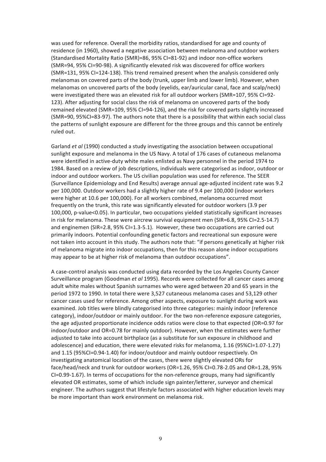was used for reference. Overall the morbidity ratios, standardised for age and county of residence (in 1960), showed a negative association between melanoma and outdoor workers (Standardised Mortality Ratio (SMR)=86, 95% CI=81-92) and indoor non-office workers (SMR=94, 95% CI=90-98). A significantly elevated risk was discovered for office workers (SMR=131, 95% CI=124-138). This trend remained present when the analysis considered only melanomas on covered parts of the body (trunk, upper limb and lower limb). However, when melanomas on uncovered parts of the body (evelids, ear/auricular canal, face and scalp/neck) were investigated there was an elevated risk for all outdoor workers (SMR=107, 95% CI=92-123). After adjusting for social class the risk of melanoma on uncovered parts of the body remained elevated (SMR=109, 95% CI=94-126), and the risk for covered parts slightly increased (SMR=90, 95%CI=83-97). The authors note that there is a possibility that within each social class the patterns of sunlight exposure are different for the three groups and this cannot be entirely ruled out.

Garland *et al* (1990) conducted a study investigating the association between occupational sunlight exposure and melanoma in the US Navy. A total of 176 cases of cutaneous melanoma were identified in active-duty white males enlisted as Navy personnel in the period 1974 to 1984. Based on a review of job descriptions, individuals were categorised as indoor, outdoor or indoor and outdoor workers. The US civilian population was used for reference. The SEER (Surveillance Epidemiology and End Results) average annual age-adjusted incident rate was 9.2 per 100,000. Outdoor workers had a slightly higher rate of 9.4 per 100,000 (indoor workers were higher at 10.6 per 100,000). For all workers combined, melanoma occurred most frequently on the trunk, this rate was significantly elevated for outdoor workers (3.9 per 100,000, p-value<0.05). In particular, two occupations yielded statistically significant increases in risk for melanoma. These were aircrew survival equipment men (SIR=6.8, 95% CI=2.5-14.7) and enginemen (SIR=2.8, 95% CI=1.3-5.1). However, these two occupations are carried out primarily indoors. Potential confounding genetic factors and recreational sun exposure were not taken into account in this study. The authors note that: "if persons genetically at higher risk of melanoma migrate into indoor occupations, then for this reason alone indoor occupations may appear to be at higher risk of melanoma than outdoor occupations".

A case-control analysis was conducted using data recorded by the Los Angeles County Cancer Surveillance program (Goodman et al 1995). Records were collected for all cancer cases among adult white males without Spanish surnames who were aged between 20 and 65 years in the period 1972 to 1990. In total there were 3,527 cutaneous melanoma cases and 53,129 other cancer cases used for reference. Among other aspects, exposure to sunlight during work was examined. Job titles were blindly categorised into three categories: mainly indoor (reference category), indoor/outdoor or mainly outdoor. For the two non-reference exposure categories, the age adjusted proportionate incidence odds ratios were close to that expected (OR=0.97 for indoor/outdoor and OR=0.78 for mainly outdoor). However, when the estimates were further adjusted to take into account birthplace (as a substitute for sun exposure in childhood and adolescence) and education, there were elevated risks for melanoma, 1.16 (95%CI=1.07-1.27) and 1.15 (95%CI=0.94-1.40) for indoor/outdoor and mainly outdoor respectively. On investigating anatomical location of the cases, there were slightly elevated ORs for face/head/neck and trunk for outdoor workers (OR=1.26, 95% CI=0.78-2.05 and OR=1.28, 95% CI=0.99-1.67). In terms of occupations for the non-reference groups, many had significantly elevated OR estimates, some of which include sign painter/letterer, surveyor and chemical engineer. The authors suggest that lifestyle factors associated with higher education levels may be more important than work environment on melanoma risk.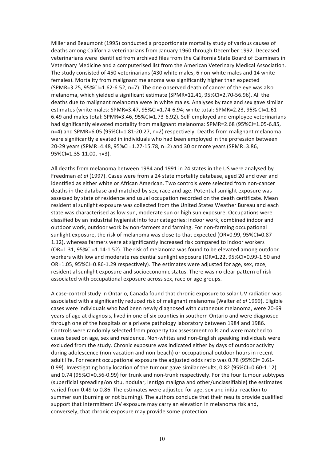Miller and Beaumont (1995) conducted a proportionate mortality study of various causes of deaths among California veterinarians from January 1960 through December 1992. Deceased veterinarians were identified from archived files from the California State Board of Examiners in Veterinary Medicine and a computerised list from the American Veterinary Medical Association. The study consisted of 450 veterinarians (430 white males, 6 non-white males and 14 white females). Mortality from malignant melanoma was significantly higher than expected  $(SPMR=3.25, 95\% CI=1.62-6.52, n=7)$ . The one observed death of cancer of the eye was also melanoma, which vielded a significant estimate  $(SPMR=12.41, 95\%C=2.70-56.96)$ . All the deaths due to malignant melanoma were in white males. Analyses by race and sex gave similar estimates (white males: SPMR=3.47,  $95\%$ CI=1.74-6.94; white total: SPMR=2.23,  $95\%$  CI=1.61-6.49 and males total: SPMR=3.46, 95%CI=1.73-6.92). Self-employed and employee veterinarians had significantly elevated mortality from malignant melanoma: SPMR=2.68 (95%CI=1.05-6.85, n=4) and SPMR=6.05 (95%CI=1.81-20.27, n=2) respectively. Deaths from malignant melanoma were significantly elevated in individuals who had been employed in the profession between 20-29 years (SPMR=4.48, 95%CI=1.27-15.78, n=2) and 30 or more years (SPMR=3.86, 95%CI=1.35-11.00, n=3).

All deaths from melanoma between 1984 and 1991 in 24 states in the US were analysed by Freedman *et al* (1997). Cases were from a 24 state mortality database, aged 20 and over and identified as either white or African American. Two controls were selected from non-cancer deaths in the database and matched by sex, race and age. Potential sunlight exposure was assessed by state of residence and usual occupation recorded on the death certificate. Mean residential sunlight exposure was collected from the United States Weather Bureau and each state was characterised as low sun, moderate sun or high sun exposure. Occupations were classified by an industrial hygienist into four categories: indoor work, combined indoor and outdoor work, outdoor work by non-farmers and farming. For non-farming occupational sunlight exposure, the risk of melanoma was close to that expected (OR=0.99, 95%CI=0.87-1.12), whereas farmers were at significantly increased risk compared to indoor workers  $(OR=1.31, 95\% CI=1.14-1.52)$ . The risk of melanoma was found to be elevated among outdoor workers with low and moderate residential sunlight exposure  $(OR=1.22, 95\% CI=0.99-1.50$  and OR=1.05, 95%CI=0.86-1.29 respectively). The estimates were adjusted for age, sex, race, residential sunlight exposure and socioeconomic status. There was no clear pattern of risk associated with occupational exposure across sex, race or age groups.

A case-control study in Ontario, Canada found that chronic exposure to solar UV radiation was associated with a significantly reduced risk of malignant melanoma (Walter et al 1999). Eligible cases were individuals who had been newly diagnosed with cutaneous melanoma, were 20-69 years of age at diagnosis, lived in one of six counties in southern Ontario and were diagnosed through one of the hospitals or a private pathology laboratory between 1984 and 1986. Controls were randomly selected from property tax assessment rolls and were matched to cases based on age, sex and residence. Non-whites and non-English speaking individuals were excluded from the study. Chronic exposure was indicated either by days of outdoor activity during adolescence (non-vacation and non-beach) or occupational outdoor hours in recent adult life. For recent occupational exposure the adjusted odds ratio was 0.78 (95%CI= 0.61-0.99). Investigating body location of the tumour gave similar results, 0.82 (95%CI=0.60-1.12) and 0.74 (95%CI=0.56-0.99) for trunk and non-trunk respectively. For the four tumour subtypes (superficial spreading/on situ, nodular, lentigo maligna and other/unclassifiable) the estimates varied from 0.49 to 0.86. The estimates were adjusted for age, sex and initial reaction to summer sun (burning or not burning). The authors conclude that their results provide qualified support that intermittent UV exposure may carry an elevation in melanoma risk and, conversely, that chronic exposure may provide some protection.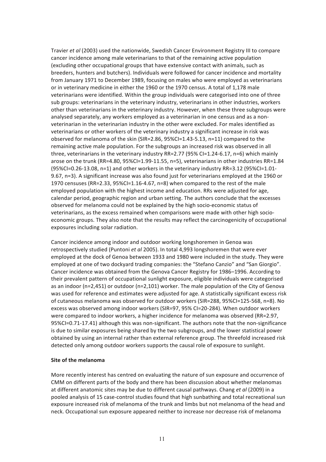Travier *et al* (2003) used the nationwide, Swedish Cancer Environment Registry III to compare cancer incidence among male veterinarians to that of the remaining active population (excluding other occupational groups that have extensive contact with animals, such as breeders, hunters and butchers). Individuals were followed for cancer incidence and mortality from January 1971 to December 1989, focusing on males who were employed as veterinarians or in veterinary medicine in either the 1960 or the 1970 census. A total of 1,178 male veterinarians were identified. Within the group individuals were categorised into one of three sub groups: veterinarians in the veterinary industry, veterinarians in other industries, workers other than veterinarians in the veterinary industry. However, when these three subgroups were analysed separately, any workers employed as a veterinarian in one census and as a nonveterinarian in the veterinarian industry in the other were excluded. For males identified as veterinarians or other workers of the veterinary industry a significant increase in risk was observed for melanoma of the skin (SIR=2.86, 95%CI=1.43-5.13, n=11) compared to the remaining active male population. For the subgroups an increased risk was observed in all three, veterinarians in the veterinary industry  $RR=2.77$  (95% CI=1.24-6.17, n=6) which mainly arose on the trunk (RR=4.80, 95%CI=1.99-11.55, n=5), veterinarians in other industries RR=1.84  $(95\%$ CI=0.26-13.08, n=1) and other workers in the veterinary industry RR=3.12  $(95\%$ CI=1.01-9.67, n=3). A significant increase was also found just for veterinarians employed at the 1960 or 1970 censuses (RR=2.33, 95%CI=1.16-4.67, n=8) when compared to the rest of the male employed population with the highest income and education. RRs were adjusted for age, calendar period, geographic region and urban setting. The authors conclude that the excesses observed for melanoma could not be explained by the high socio-economic status of veterinarians, as the excess remained when comparisons were made with other high socioeconomic groups. They also note that the results may reflect the carcinogenicity of occupational exposures including solar radiation.

Cancer incidence among indoor and outdoor working longshoremen in Genoa was retrospectively studied (Puntoni *et al* 2005). In total 4,993 longshoremen that were ever employed at the dock of Genoa between 1933 and 1980 were included in the study. They were employed at one of two dockyard trading companies: the "Stefano Canzio" and "San Giorgio". Cancer incidence was obtained from the Genova Cancer Registry for 1986–1996. According to their prevalent pattern of occupational sunlight exposure, eligible individuals were categorised as an indoor (n=2,451) or outdoor (n=2,101) worker. The male population of the City of Genova was used for reference and estimates were adjusted for age. A statistically significant excess risk of cutaneous melanoma was observed for outdoor workers (SIR=288, 95%CI=125-568, n=8). No excess was observed among indoor workers (SIR=97, 95% CI=20-284). When outdoor workers were compared to indoor workers, a higher incidence for melanoma was observed (RR=2.97, 95%CI=0.71-17.41) although this was non-significant. The authors note that the non-significance is due to similar exposures being shared by the two subgroups, and the lower statistical power obtained by using an internal rather than external reference group. The threefold increased risk detected only among outdoor workers supports the causal role of exposure to sunlight.

#### **Site of the melanoma**

More recently interest has centred on evaluating the nature of sun exposure and occurrence of CMM on different parts of the body and there has been discussion about whether melanomas at different anatomic sites may be due to different causal pathways. Chang *et al* (2009) in a pooled analysis of 15 case-control studies found that high sunbathing and total recreational sun exposure increased risk of melanoma of the trunk and limbs but not melanoma of the head and neck. Occupational sun exposure appeared neither to increase nor decrease risk of melanoma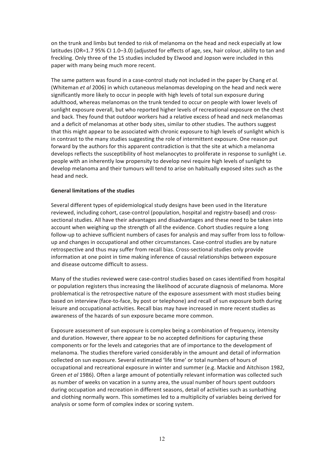on the trunk and limbs but tended to risk of melanoma on the head and neck especially at low latitudes (OR=1.7 95% CI 1.0-3.0) (adjusted for effects of age, sex, hair colour, ability to tan and freckling. Only three of the 15 studies included by Elwood and Jopson were included in this paper with many being much more recent.

The same pattern was found in a case-control study not included in the paper by Chang et al. (Whiteman *et al* 2006) in which cutaneous melanomas developing on the head and neck were significantly more likely to occur in people with high levels of total sun exposure during adulthood, whereas melanomas on the trunk tended to occur on people with lower levels of sunlight exposure overall, but who reported higher levels of recreational exposure on the chest and back. They found that outdoor workers had a relative excess of head and neck melanomas and a deficit of melanomas at other body sites, similar to other studies. The authors suggest that this might appear to be associated with chronic exposure to high levels of sunlight which is in contrast to the many studies suggesting the role of intermittent exposure. One reason put forward by the authors for this apparent contradiction is that the site at which a melanoma develops reflects the susceptibility of host melanocytes to proliferate in response to sunlight i.e. people with an inherently low propensity to develop nevi require high levels of sunlight to develop melanoma and their tumours will tend to arise on habitually exposed sites such as the head and neck.

#### **General limitations of the studies**

Several different types of epidemiological study designs have been used in the literature reviewed, including cohort, case-control (population, hospital and registry-based) and crosssectional studies. All have their advantages and disadvantages and these need to be taken into account when weighing up the strength of all the evidence. Cohort studies require a long follow-up to achieve sufficient numbers of cases for analysis and may suffer from loss to followup and changes in occupational and other circumstances. Case-control studies are by nature retrospective and thus may suffer from recall bias. Cross-sectional studies only provide information at one point in time making inference of causal relationships between exposure and disease outcome difficult to assess.

Many of the studies reviewed were case-control studies based on cases identified from hospital or population registers thus increasing the likelihood of accurate diagnosis of melanoma. More problematical is the retrospective nature of the exposure assessment with most studies being based on interview (face-to-face, by post or telephone) and recall of sun exposure both during leisure and occupational activities. Recall bias may have increased in more recent studies as awareness of the hazards of sun exposure became more common.

Exposure assessment of sun exposure is complex being a combination of frequency, intensity and duration. However, there appear to be no accepted definitions for capturing these components or for the levels and categories that are of importance to the development of melanoma. The studies therefore varied considerably in the amount and detail of information collected on sun exposure. Several estimated 'life time' or total numbers of hours of occupational and recreational exposure in winter and summer (e.g. Mackie and Aitchison 1982, Green *et al* 1986). Often a large amount of potentially relevant information was collected such as number of weeks on vacation in a sunny area, the usual number of hours spent outdoors during occupation and recreation in different seasons, detail of activities such as sunbathing and clothing normally worn. This sometimes led to a multiplicity of variables being derived for analysis or some form of complex index or scoring system.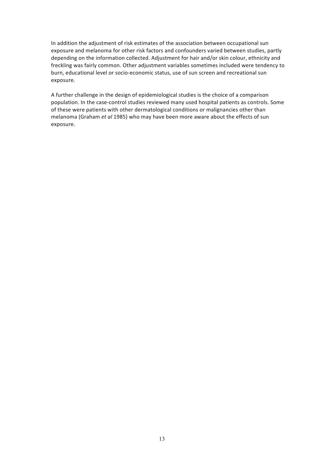In addition the adjustment of risk estimates of the association between occupational sun exposure and melanoma for other risk factors and confounders varied between studies, partly depending on the information collected. Adjustment for hair and/or skin colour, ethnicity and freckling was fairly common. Other adjustment variables sometimes included were tendency to burn, educational level or socio-economic status, use of sun screen and recreational sun exposure.

A further challenge in the design of epidemiological studies is the choice of a comparison population. In the case-control studies reviewed many used hospital patients as controls. Some of these were patients with other dermatological conditions or malignancies other than melanoma (Graham et al 1985) who may have been more aware about the effects of sun exposure.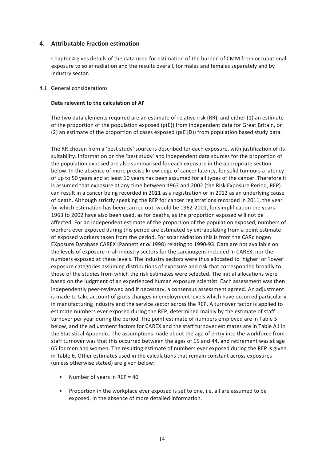#### **4. Attributable Fraction estimation**

Chapter 4 gives details of the data used for estimation of the burden of CMM from occupational exposure to solar radiation and the results overall, for males and females separately and by industry sector.

#### 4.1 General considerations

#### Data relevant to the calculation of AF

The two data elements required are an estimate of relative risk (RR), and either (1) an estimate of the proportion of the population exposed (p(E)) from independent data for Great Britain, or (2) an estimate of the proportion of cases exposed ( $p(E|D)$ ) from population based study data.

The RR chosen from a 'best study' source is described for each exposure, with justification of its suitability. Information on the 'best study' and independent data sources for the proportion of the population exposed are also summarised for each exposure in the appropriate section below. In the absence of more precise knowledge of cancer latency, for solid tumours a latency of up to 50 years and at least 10 years has been assumed for all types of the cancer. Therefore it is assumed that exposure at any time between 1963 and 2002 (the Risk Exposure Period, REP) can result in a cancer being recorded in 2011 as a registration or in 2012 as an underlying cause of death. Although strictly speaking the REP for cancer registrations recorded in 2011, the year for which estimation has been carried out, would be 1962-2001, for simplification the vears 1963 to 2002 have also been used, as for deaths, as the proportion exposed will not be affected. For an independent estimate of the proportion of the population exposed, numbers of workers ever exposed during this period are estimated by extrapolating from a point estimate of exposed workers taken from the period. For solar radiation this is from the CARcinogen EXposure Database CAREX (Pannett *et al* 1998) relating to 1990-93. Data are not available on the levels of exposure in all industry sectors for the carcinogens included in CAREX, nor the numbers exposed at these levels. The industry sectors were thus allocated to 'higher' or 'lower' exposure categories assuming distributions of exposure and risk that corresponded broadly to those of the studies from which the risk estimates were selected. The initial allocations were based on the judgment of an experienced human exposure scientist. Each assessment was then independently peer-reviewed and if necessary, a consensus assessment agreed. An adjustment is made to take account of gross changes in employment levels which have occurred particularly in manufacturing industry and the service sector across the REP. A turnover factor is applied to estimate numbers ever exposed during the REP, determined mainly by the estimate of staff turnover per year during the period. The point estimate of numbers employed are in Table 5 below, and the adjustment factors for CAREX and the staff turnover estimates are in Table A1 in the Statistical Appendix. The assumptions made about the age of entry into the workforce from staff turnover was that this occurred between the ages of 15 and 44, and retirement was at age 65 for men and women. The resulting estimate of numbers ever exposed during the REP is given in Table 6. Other estimates used in the calculations that remain constant across exposures (unless otherwise stated) are given below:

- Number of years in REP =  $40$
- Proportion in the workplace ever exposed is set to one, i.e. all are assumed to be exposed, in the absence of more detailed information.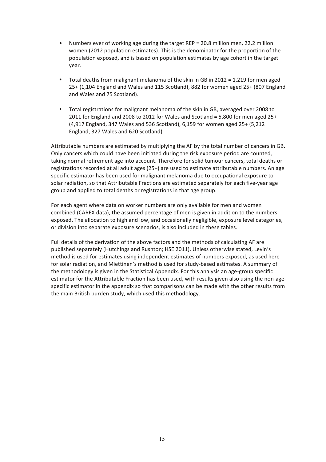- Numbers ever of working age during the target  $REP = 20.8$  million men, 22.2 million women (2012 population estimates). This is the denominator for the proportion of the population exposed, and is based on population estimates by age cohort in the target year.
- Total deaths from malignant melanoma of the skin in GB in 2012 = 1,219 for men aged  $25+$  (1,104 England and Wales and 115 Scotland), 882 for women aged  $25+$  (807 England and Wales and 75 Scotland).
- Total registrations for malignant melanoma of the skin in GB, averaged over 2008 to 2011 for England and 2008 to 2012 for Wales and Scotland =  $5,800$  for men aged  $25+$ (4,917 England, 347 Wales and 536 Scotland), 6,159 for women aged 25+ (5,212 England, 327 Wales and 620 Scotland).

Attributable numbers are estimated by multiplying the AF by the total number of cancers in GB. Only cancers which could have been initiated during the risk exposure period are counted, taking normal retirement age into account. Therefore for solid tumour cancers, total deaths or registrations recorded at all adult ages (25+) are used to estimate attributable numbers. An age specific estimator has been used for malignant melanoma due to occupational exposure to solar radiation, so that Attributable Fractions are estimated separately for each five-year age group and applied to total deaths or registrations in that age group.

For each agent where data on worker numbers are only available for men and women combined (CAREX data), the assumed percentage of men is given in addition to the numbers exposed. The allocation to high and low, and occasionally negligible, exposure level categories, or division into separate exposure scenarios, is also included in these tables.

Full details of the derivation of the above factors and the methods of calculating AF are published separately (Hutchings and Rushton; HSE 2011). Unless otherwise stated, Levin's method is used for estimates using independent estimates of numbers exposed, as used here for solar radiation, and Miettinen's method is used for study-based estimates. A summary of the methodology is given in the Statistical Appendix. For this analysis an age-group specific estimator for the Attributable Fraction has been used, with results given also using the non-agespecific estimator in the appendix so that comparisons can be made with the other results from the main British burden study, which used this methodology.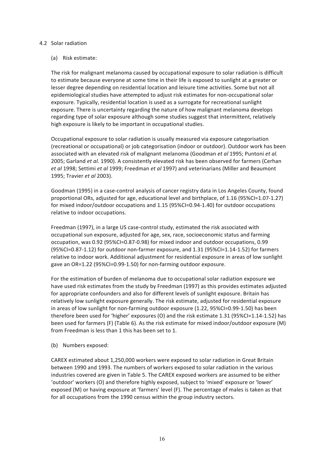#### 4.2 Solar radiation

#### (a) Risk estimate:

The risk for malignant melanoma caused by occupational exposure to solar radiation is difficult to estimate because everyone at some time in their life is exposed to sunlight at a greater or lesser degree depending on residential location and leisure time activities. Some but not all epidemiological studies have attempted to adjust risk estimates for non-occupational solar exposure. Typically, residential location is used as a surrogate for recreational sunlight exposure. There is uncertainty regarding the nature of how malignant melanoma develops regarding type of solar exposure although some studies suggest that intermittent, relatively high exposure is likely to be important in occupational studies.

Occupational exposure to solar radiation is usually measured via exposure categorisation (recreational or occupational) or job categorisation (indoor or outdoor). Outdoor work has been associated with an elevated risk of malignant melanoma (Goodman *et al 1995; Puntoni et al.* 2005; Garland et al. 1990). A consistently elevated risk has been observed for farmers (Cerhan *et al* 1998; Settimi *et al* 1999; Freedman *et al* 1997) and veterinarians (Miller and Beaumont 1995; Travier *et al* 2003). 

Goodman (1995) in a case-control analysis of cancer registry data in Los Angeles County, found proportional ORs, adjusted for age, educational level and birthplace, of 1.16 (95%CI=1.07-1.27) for mixed indoor/outdoor occupations and 1.15 (95%CI=0.94-1.40) for outdoor occupations relative to indoor occupations.

Freedman (1997), in a large US case-control study, estimated the risk associated with occupational sun exposure, adjusted for age, sex, race, socioeconomic status and farming occupation, was 0.92 (95%CI=0.87-0.98) for mixed indoor and outdoor occupations, 0.99  $(95\%C=0.87-1.12)$  for outdoor non-farmer exposure, and  $1.31$   $(95\%C=1.14-1.52)$  for farmers relative to indoor work. Additional adjustment for residential exposure in areas of low sunlight gave an OR=1.22 (95%CI=0.99-1.50) for non-farming outdoor exposure.

For the estimation of burden of melanoma due to occupational solar radiation exposure we have used risk estimates from the study by Freedman (1997) as this provides estimates adjusted for appropriate confounders and also for different levels of sunlight exposure. Britain has relatively low sunlight exposure generally. The risk estimate, adjusted for residential exposure in areas of low sunlight for non-farming outdoor exposure (1.22, 95%CI=0.99-1.50) has been therefore been used for 'higher' exposures (O) and the risk estimate 1.31 (95%CI=1.14-1.52) has been used for farmers (F) (Table 6). As the risk estimate for mixed indoor/outdoor exposure (M) from Freedman is less than 1 this has been set to 1.

(b) Numbers exposed:

CAREX estimated about 1,250,000 workers were exposed to solar radiation in Great Britain between 1990 and 1993. The numbers of workers exposed to solar radiation in the various industries covered are given in Table 5. The CAREX exposed workers are assumed to be either 'outdoor' workers (O) and therefore highly exposed, subject to 'mixed' exposure or 'lower' exposed (M) or having exposure at 'farmers' level (F). The percentage of males is taken as that for all occupations from the 1990 census within the group industry sectors.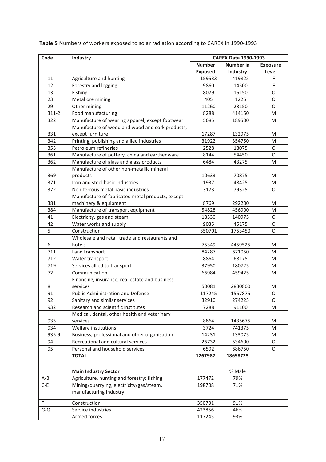| Code           | Industry                                         | <b>CAREX Data 1990-1993</b> |                  |                 |
|----------------|--------------------------------------------------|-----------------------------|------------------|-----------------|
|                |                                                  | <b>Number</b>               | <b>Number in</b> | <b>Exposure</b> |
|                |                                                  | <b>Exposed</b>              | <b>Industry</b>  | Level           |
| 11             | Agriculture and hunting                          | 159533                      | 419825           | F               |
| 12             | Forestry and logging                             | 9860                        | 14500            | F               |
| 13             | Fishing                                          | 8079                        | 16150            | O               |
| 23             | Metal ore mining                                 | 405                         | 1225             | O               |
| 29             | Other mining                                     | 11260                       | 28150            | O               |
| $311-2$        | Food manufacturing                               | 8288                        | 414150           | M               |
| 322            | Manufacture of wearing apparel, except footwear  | 5685                        | 189500           | M               |
|                | Manufacture of wood and wood and cork products,  |                             |                  |                 |
| 331            | except furniture                                 | 17287                       | 132975           | M               |
| 342            | Printing, publishing and allied industries       | 31922                       | 354750           | M               |
| 353            | Petroleum refineries                             | 2528                        | 18075            | O               |
| 361            | Manufacture of pottery, china and earthenware    | 8144                        | 54450            | O               |
| 362            | Manufacture of glass and glass products          | 6484                        | 43275            | M               |
|                | Manufacture of other non-metallic mineral        |                             |                  |                 |
| 369            | products                                         | 10633                       | 70875            | M               |
| 371            | Iron and steel basic industries                  | 1937                        | 48425            | м               |
| 372            | Non-ferrous metal basic industries               | 3173                        | 79325            | O               |
|                | Manufacture of fabricated metal products, except |                             |                  |                 |
| 381            | machinery & equipment                            | 8769                        | 292200           | M               |
| 384            | Manufacture of transport equipment               | 54828                       | 456900           | M               |
| 41             | Electricity, gas and steam                       | 18330                       | 140975           | O               |
| 42             | Water works and supply                           | 9035                        | 45175            | O               |
| $\overline{5}$ | Construction                                     | 350701                      | 1753450          | O               |
|                | Wholesale and retail trade and restaurants and   |                             |                  |                 |
| 6              | hotels                                           | 75349                       | 4459525          | M               |
| 711            | Land transport                                   | 84287                       | 671050           | M               |
| 712            | Water transport                                  | 8864                        | 68175            | M               |
| 719            | Services allied to transport                     | 37950                       | 180725           | M               |
| 72             | Communication                                    | 66984                       | 459425           | м               |
|                | Financing, insurance, real estate and business   |                             |                  |                 |
| 8              | services                                         | 50081                       | 2830800          | м               |
| 91             | Public Administration and Defence                | 117245                      | 1557875          | O               |
| 92             | Sanitary and similar services                    | 32910                       | 274225           | O               |
| 932            | Research and scientific institutes               | 7288                        | 91100            | м               |
|                | Medical, dental, other health and veterinary     |                             |                  |                 |
| 933            | services                                         | 8864                        | 1435675          | M               |
| 934            | Welfare institutions                             | 3724                        | 741375           | M               |
| 935-9          | Business, professional and other organisation    | 14231                       | 133075           | M               |
| 94             | Recreational and cultural services               | 26732                       | 534600           | 0               |
| 95             | Personal and household services                  | 6592                        | 686750           | 0               |
|                | <b>TOTAL</b>                                     | 1267982                     | 18698725         |                 |
|                |                                                  |                             |                  |                 |
|                |                                                  |                             |                  |                 |
|                | <b>Main Industry Sector</b>                      |                             | % Male           |                 |
| A-B            | Agriculture, hunting and forestry; fishing       | 177472                      | 79%              |                 |
| $C-E$          | Mining/quarrying, electricity/gas/steam,         | 198708                      | 71%              |                 |
|                | manufacturing industry                           |                             |                  |                 |
| F              | Construction                                     | 350701                      | 91%              |                 |
| $G - Q$        | Service industries                               | 423856                      | 46%              |                 |
|                | Armed forces                                     | 117245                      | 93%              |                 |

Table 5 Numbers of workers exposed to solar radiation according to CAREX in 1990-1993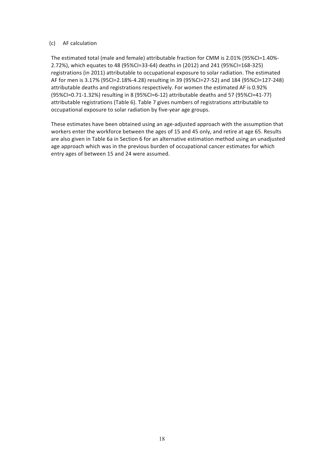#### (c) AF calculation

The estimated total (male and female) attributable fraction for CMM is 2.01% (95%CI=1.40%-2.72%), which equates to 48 (95%CI=33-64) deaths in (2012) and 241 (95%CI=168-325) registrations (in 2011) attributable to occupational exposure to solar radiation. The estimated AF for men is 3.17% (95CI=2.18%-4.28) resulting in 39 (95%CI=27-52) and 184 (95%CI=127-248) attributable deaths and registrations respectively. For women the estimated AF is 0.92%  $(95\%CI=0.71-1.32\%)$  resulting in 8 (95%CI=6-12) attributable deaths and 57 (95%CI=41-77) attributable registrations (Table 6). Table 7 gives numbers of registrations attributable to occupational exposure to solar radiation by five-year age groups.

These estimates have been obtained using an age-adjusted approach with the assumption that workers enter the workforce between the ages of 15 and 45 only, and retire at age 65. Results are also given in Table 6a in Section 6 for an alternative estimation method using an unadjusted age approach which was in the previous burden of occupational cancer estimates for which entry ages of between 15 and 24 were assumed.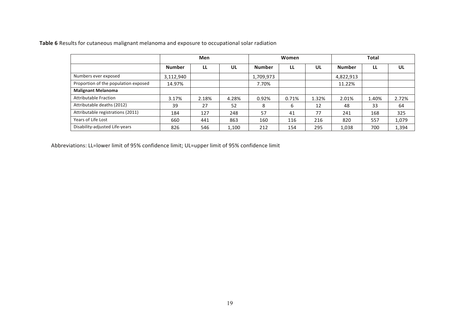| Table 6 Results for cutaneous malignant melanoma and exposure to occupational solar radiation |  |
|-----------------------------------------------------------------------------------------------|--|
|-----------------------------------------------------------------------------------------------|--|

|                                      |               | Men   |       | Women         |       |       | <b>Total</b> |       |       |
|--------------------------------------|---------------|-------|-------|---------------|-------|-------|--------------|-------|-------|
|                                      | <b>Number</b> | LL    | UL    | <b>Number</b> | LL    | UL    | Number       | LL    | UL    |
| Numbers ever exposed                 | 3,112,940     |       |       | 1,709,973     |       |       | 4,822,913    |       |       |
| Proportion of the population exposed | 14.97%        |       |       | 7.70%         |       |       | 11.22%       |       |       |
| <b>Malignant Melanoma</b>            |               |       |       |               |       |       |              |       |       |
| <b>Attributable Fraction</b>         | 3.17%         | 2.18% | 4.28% | 0.92%         | 0.71% | 1.32% | 2.01%        | 1.40% | 2.72% |
| Attributable deaths (2012)           | 39            | 27    | 52    | 8             | 6     | 12    | 48           | 33    | 64    |
| Attributable registrations (2011)    | 184           | 127   | 248   | 57            | 41    | 77    | 241          | 168   | 325   |
| Years of Life Lost                   | 660           | 441   | 863   | 160           | 116   | 216   | 820          | 557   | 1,079 |
| Disability-adjusted Life-years       | 826           | 546   | 1.100 | 212           | 154   | 295   | 1,038        | 700   | 1,394 |

Abbreviations: LL=lower limit of 95% confidence limit; UL=upper limit of 95% confidence limit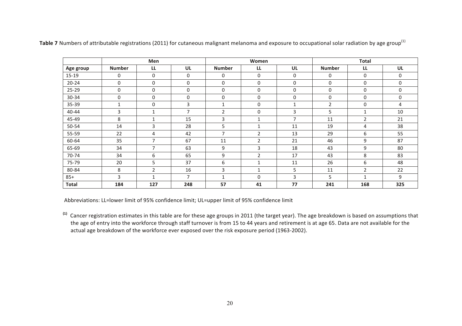| Men          |               |                |                | Women          |                |                          | <b>Total</b>   |                |     |
|--------------|---------------|----------------|----------------|----------------|----------------|--------------------------|----------------|----------------|-----|
| Age group    | <b>Number</b> | LL             | UL             | <b>Number</b>  | LL             | UL                       | <b>Number</b>  | LL             | UL  |
| 15-19        | 0             | 0              | $\mathbf 0$    | 0              | $\mathbf 0$    | 0                        | 0              | $\mathbf 0$    | 0   |
| $20 - 24$    | 0             | 0              | 0              | 0              | $\mathbf 0$    | 0                        | 0              | 0              | 0   |
| $25 - 29$    | 0             | $\Omega$       | 0              | 0              | $\mathbf 0$    | 0                        | 0              | 0              | 0   |
| 30-34        | 0             | 0              | 0              | 0              | 0              | 0                        | 0              | 0              | 0   |
| 35-39        | 1             | 0              | 3              |                | $\mathbf 0$    |                          | $\overline{2}$ | 0              | 4   |
| 40-44        | 3             |                | $\overline{7}$ | 2              | $\mathbf 0$    | 3                        | 5              |                | 10  |
| 45-49        | 8             |                | 15             | 3              | 1              | $\overline{\phantom{a}}$ | 11             | $\overline{2}$ | 21  |
| 50-54        | 14            | 3              | 28             | 5              | $\mathbf 1$    | 11                       | 19             | 4              | 38  |
| 55-59        | 22            | 4              | 42             | $\overline{7}$ | 2              | 13                       | 29             | 6              | 55  |
| 60-64        | 35            | $\overline{7}$ | 67             | 11             | 2              | 21                       | 46             | 9              | 87  |
| 65-69        | 34            | $\overline{ }$ | 63             | 9              | 3              | 18                       | 43             | 9              | 80  |
| 70-74        | 34            | 6              | 65             | 9              | $\overline{2}$ | 17                       | 43             | 8              | 83  |
| 75-79        | 20            | 5              | 37             | 6              | $\mathbf{1}$   | 11                       | 26             | 6              | 48  |
| 80-84        | 8             | $\overline{2}$ | 16             | 3              |                | 5                        | 11             | 2              | 22  |
| $85+$        | 3             |                | $\overline{7}$ |                | $\mathbf{0}$   | 3                        | 5              |                | 9   |
| <b>Total</b> | 184           | 127            | 248            | 57             | 41             | 77                       | 241            | 168            | 325 |

Table 7 Numbers of attributable registrations (2011) for cutaneous malignant melanoma and exposure to occupational solar radiation by age group<sup>(1)</sup>

Abbreviations: LL=lower limit of 95% confidence limit; UL=upper limit of 95% confidence limit

<sup>(1)</sup> Cancer registration estimates in this table are for these age groups in 2011 (the target year). The age breakdown is based on assumptions that the age of entry into the workforce through staff turnover is from 15 to 44 years and retirement is at age 65. Data are not available for the actual age breakdown of the workforce ever exposed over the risk exposure period (1963-2002).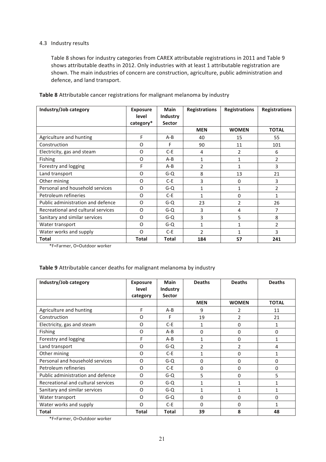#### 4.3 Industry results

Table 8 shows for industry categories from CAREX attributable registrations in 2011 and Table 9 shows attributable deaths in 2012. Only industries with at least 1 attributable registration are shown. The main industries of concern are construction, agriculture, public administration and defence, and land transport.

| Industry/Job category              | <b>Exposure</b><br>level<br>category* | <b>Main</b><br>Industry<br><b>Sector</b> | <b>Registrations</b> | <b>Registrations</b> | <b>Registrations</b> |
|------------------------------------|---------------------------------------|------------------------------------------|----------------------|----------------------|----------------------|
|                                    |                                       |                                          | <b>MEN</b>           | <b>WOMEN</b>         | <b>TOTAL</b>         |
| Agriculture and hunting            | F                                     | $A - B$                                  | 40                   | 15                   | 55                   |
| Construction                       | O                                     | F                                        | 90                   | 11                   | 101                  |
| Electricity, gas and steam         | O                                     | $C-E$                                    | 4                    | $\overline{2}$       | 6                    |
| Fishing                            | O                                     | $A-B$                                    | 1                    | 1                    | 2                    |
| Forestry and logging               | F                                     | $A-B$                                    | 2                    | $\mathbf{1}$         | 3                    |
| Land transport                     | O                                     | $G - Q$                                  | 8                    | 13                   | 21                   |
| Other mining                       | O                                     | $C-E$                                    | 3                    | 0                    | 3                    |
| Personal and household services    | O                                     | $G - Q$                                  | 1                    | $\mathbf{1}$         | $\overline{2}$       |
| Petroleum refineries               | O                                     | $C-E$                                    | 1                    | $\mathbf{0}$         | 1                    |
| Public administration and defence  | O                                     | $G - Q$                                  | 23                   | $\overline{2}$       | 26                   |
| Recreational and cultural services | O                                     | $G-O$                                    | 3                    | 4                    | 7                    |
| Sanitary and similar services      | O                                     | $G - Q$                                  | 3                    | 5                    | 8                    |
| Water transport                    | O                                     | $G - Q$                                  | 1                    | $\mathbf{1}$         | $\mathfrak{p}$       |
| Water works and supply             | $\Omega$                              | $C-E$                                    | $\mathcal{P}$        | 1                    | 3                    |
| Total                              | <b>Total</b>                          | Total                                    | 184                  | 57                   | 241                  |

**Table 8** Attributable cancer registrations for malignant melanoma by industry

\*F=Farmer, O=Outdoor worker

#### Table 9 Attributable cancer deaths for malignant melanoma by industry

| Industry/Job category              | <b>Exposure</b><br>level<br>category | Main<br>Industry<br><b>Sector</b> | <b>Deaths</b> | <b>Deaths</b>  | <b>Deaths</b> |
|------------------------------------|--------------------------------------|-----------------------------------|---------------|----------------|---------------|
|                                    |                                      |                                   | <b>MEN</b>    | <b>WOMEN</b>   | <b>TOTAL</b>  |
| Agriculture and hunting            | F                                    | $A - B$                           | 9             | 2              | 11            |
| Construction                       | O                                    | F                                 | 19            | $\overline{2}$ | 21            |
| Electricity, gas and steam         | O                                    | $C-E$                             | 1             | 0              | 1             |
| Fishing                            | O                                    | $A - B$                           | 0             | $\Omega$       | 0             |
| Forestry and logging               | F                                    | $A - B$                           | 1             | 0              |               |
| Land transport                     | O                                    | G-Q                               | 2             | 2              | 4             |
| Other mining                       | O                                    | $C-E$                             | 1             | 0              |               |
| Personal and household services    | O                                    | $G - Q$                           | 0             | 0              | 0             |
| Petroleum refineries               | O                                    | $C-E$                             | 0             | $\Omega$       | 0             |
| Public administration and defence  | O                                    | $G - Q$                           | 5             | $\Omega$       | 5             |
| Recreational and cultural services | O                                    | $G - Q$                           | 1             | 1              |               |
| Sanitary and similar services      | O                                    | $G - Q$                           | 1             | 1              |               |
| Water transport                    | O                                    | $G - Q$                           | 0             | 0              | 0             |
| Water works and supply             | O                                    | $C-E$                             | 0             | $\Omega$       |               |
| <b>Total</b>                       | <b>Total</b>                         | <b>Total</b>                      | 39            | 8              | 48            |

\*F=Farmer, O=Outdoor worker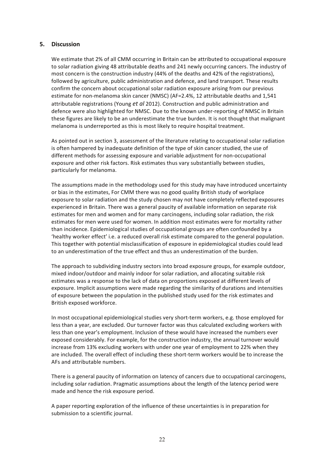#### **5. Discussion**

We estimate that 2% of all CMM occurring in Britain can be attributed to occupational exposure to solar radiation giving 48 attributable deaths and 241 newly occurring cancers. The industry of most concern is the construction industry (44% of the deaths and 42% of the registrations), followed by agriculture, public administration and defence, and land transport. These results confirm the concern about occupational solar radiation exposure arising from our previous estimate for non-melanoma skin cancer (NMSC) (AF=2.4%, 12 attributable deaths and 1,541 attributable registrations (Young et al 2012). Construction and public administration and defence were also highlighted for NMSC. Due to the known under-reporting of NMSC in Britain these figures are likely to be an underestimate the true burden. It is not thought that malignant melanoma is underreported as this is most likely to require hospital treatment.

As pointed out in section 3, assessment of the literature relating to occupational solar radiation is often hampered by inadequate definition of the type of skin cancer studied, the use of different methods for assessing exposure and variable adjustment for non-occupational exposure and other risk factors. Risk estimates thus vary substantially between studies, particularly for melanoma.

The assumptions made in the methodology used for this study may have introduced uncertainty or bias in the estimates, For CMM there was no good quality British study of workplace exposure to solar radiation and the study chosen may not have completely reflected exposures experienced in Britain. There was a general paucity of available information on separate risk estimates for men and women and for many carcinogens, including solar radiation, the risk estimates for men were used for women. In addition most estimates were for mortality rather than incidence. Epidemiological studies of occupational groups are often confounded by a 'healthy worker effect' i.e. a reduced overall risk estimate compared to the general population. This together with potential misclassification of exposure in epidemiological studies could lead to an underestimation of the true effect and thus an underestimation of the burden.

The approach to subdividing industry sectors into broad exposure groups, for example outdoor, mixed indoor/outdoor and mainly indoor for solar radiation, and allocating suitable risk estimates was a response to the lack of data on proportions exposed at different levels of exposure. Implicit assumptions were made regarding the similarity of durations and intensities of exposure between the population in the published study used for the risk estimates and British exposed workforce.

In most occupational epidemiological studies very short-term workers, e.g. those employed for less than a year, are excluded. Our turnover factor was thus calculated excluding workers with less than one year's employment. Inclusion of these would have increased the numbers ever exposed considerably. For example, for the construction industry, the annual turnover would increase from 13% excluding workers with under one year of employment to 22% when they are included. The overall effect of including these short-term workers would be to increase the AFs and attributable numbers.

There is a general paucity of information on latency of cancers due to occupational carcinogens, including solar radiation. Pragmatic assumptions about the length of the latency period were made and hence the risk exposure period.

A paper reporting exploration of the influence of these uncertainties is in preparation for submission to a scientific journal.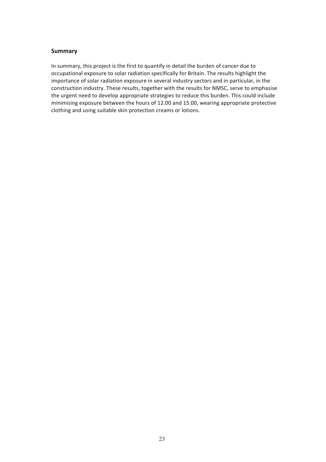#### **Summary**

In summary, this project is the first to quantify in detail the burden of cancer due to occupational exposure to solar radiation specifically for Britain. The results highlight the importance of solar radiation exposure in several industry sectors and in particular, in the construction industry. These results, together with the results for NMSC, serve to emphasise the urgent need to develop appropriate strategies to reduce this burden. This could include minimising exposure between the hours of 12.00 and 15.00, wearing appropriate protective clothing and using suitable skin protection creams or lotions.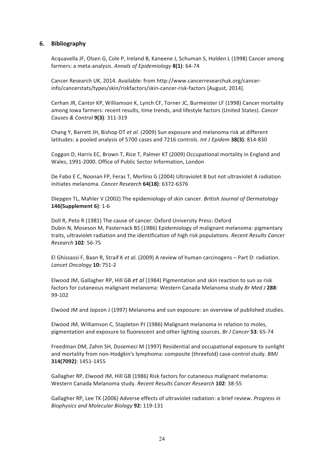#### **6. Bibliography**

Acquavella JF, Olsen G, Cole P, Ireland B, Kaneene J, Schuman S, Holden L (1998) Cancer among farmers: a meta-analysis. Annals of Epidemiology 8(1): 64-74

Cancer Research UK, 2014. Available: from http://www.cancerresearchuk.org/cancerinfo/cancerstats/types/skin/riskfactors/skin-cancer-risk-factors [August, 2014].

Cerhan JR, Cantor KP, Williamson K, Lynch CF, Torner JC, Burmeister LF (1998) Cancer mortality among Iowa farmers: recent results, time trends, and lifestyle factors (United States). *Cancer Causes & Control* **9(3)**: 311-319

Chang Y, Barrett JH, Bishop DT *et al.* (2009) Sun exposure and melanoma risk at different latitudes: a pooled analysis of 5700 cases and 7216 controls. Int J Epidem 38(3): 814-830

Coggon D, Harris EC, Brown T, Rice T, Palmer KT (2009) Occupational mortality in England and Wales, 1991-2000. Office of Public Sector Information, London

De Fabo E C, Noonan FP, Feras T, Merlino G (2004) Ultraviolet B but not ultraviolet A radiation initiates melanoma. *Cancer Research* **64(18)**: 6372-6376

Diepgen TL, Mahler V (2002) The epidemiology of skin cancer. *British Journal of Dermatology* **146(Supplement 6)**: 1-6

Doll R, Peto R (1981) The cause of cancer. Oxford University Press: Oxford Dubin N, Moseson M, Pasternack BS (1986) Epidemiology of malignant melanoma: pigmentary traits, ultraviolet radiation and the identification of high risk populations. *Recent Results Cancer Research* **102**: 56-75

El Ghissassi F, Baan R, Straif K et al. (2009) A review of human carcinogens - Part D: radiation. *Lancet Oncology* **10:** 751-2

Elwood JM, Gallagher RP, Hill GB *et al* (1984) Pigmentation and skin reaction to sun as risk factors for cutaneous malignant melanoma: Western Canada Melanoma study *Br Med J* 288: 99-102

Elwood JM and Jopson J (1997) Melanoma and sun exposure: an overview of published studies.

Elwood JM, Williamson C, Stapleton PJ (1986) Malignant melanoma in relation to moles, pigmentation and exposure to fluorescent and other lighting sources. *Br J Cancer* 53: 65-74

Freedman DM, Zahm SH, Dosemeci M (1997) Residential and occupational exposure to sunlight and mortality from non-Hodgkin's lymphoma: composite (threefold) case-control study. *BMJ* **314(7092)**: 1451-1455

Gallagher RP, Elwood JM, Hill GB (1986) Risk factors for cutaneous malignant melanoma: Western Canada Melanoma study. Recent Results Cancer Research **102**: 38-55

Gallagher RP, Lee TK (2006) Adverse effects of ultraviolet radiation: a brief review. *Progress in Biophysics and Molecular Biology* **92:** 119-131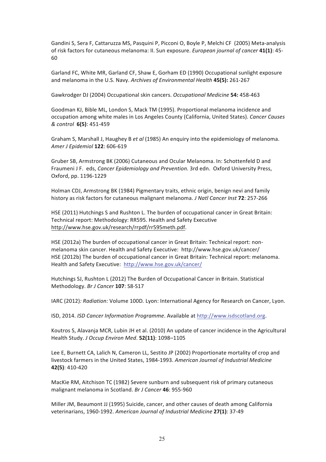Gandini S, Sera F, Cattaruzza MS, Pasquini P, Picconi O, Boyle P, Melchi CF (2005) Meta-analysis of risk factors for cutaneous melanoma: II. Sun exposure. *European journal of cancer* 41(1): 45-60

Garland FC, White MR, Garland CF, Shaw E, Gorham ED (1990) Occupational sunlight exposure and melanoma in the U.S. Navy. *Archives of Environmental Health* **45(5):** 261-267

Gawkrodger DJ (2004) Occupational skin cancers. *Occupational Medicine* 54: 458-463

Goodman KJ, Bible ML, London S, Mack TM (1995). Proportional melanoma incidence and occupation among white males in Los Angeles County (California, United States). *Cancer Causes & control* **6(5)**: 451-459

Graham S, Marshall J, Haughey B et al (1985) An enquiry into the epidemiology of melanoma. *Amer J Epidemiol* **122**: 606-619

Gruber SB, Armstrong BK (2006) Cutaneous and Ocular Melanoma. In: Schottenfeld D and Fraumeni J F. eds, *Cancer Epidemiology and Prevention*. 3rd edn. Oxford University Press, Oxford, pp. 1196-1229

Holman CDJ, Armstrong BK (1984) Pigmentary traits, ethnic origin, benign nevi and family history as risk factors for cutaneous malignant melanoma. *J Natl Cancer Inst* **72**: 257-266

HSE (2011) Hutchings S and Rushton L. The burden of occupational cancer in Great Britain: Technical report: Methodology: RR595. Health and Safety Executive http://www.hse.gov.uk/research/rrpdf/rr595meth.pdf.

HSE (2012a) The burden of occupational cancer in Great Britain: Technical report: nonmelanoma skin cancer. Health and Safety Executive: http://www.hse.gov.uk/cancer/ HSE (2012b) The burden of occupational cancer in Great Britain: Technical report: melanoma. Health and Safety Executive: http://www.hse.gov.uk/cancer/

Hutchings SJ, Rushton L (2012) The Burden of Occupational Cancer in Britain. Statistical Methodology. Br J Cancer 107: S8-S17

IARC (2012)*: Radiation:* Volume 100D. Lyon: International Agency for Research on Cancer, Lyon.

ISD, 2014. *ISD Cancer Information Programme*. Available at http://www.isdscotland.org.

Koutros S, Alavanja MCR, Lubin JH et al. (2010) An update of cancer incidence in the Agricultural Health Study. *J Occup Environ Med*. **52(11)**: 1098–1105

Lee E, Burnett CA, Lalich N, Cameron LL, Sestito JP (2002) Proportionate mortality of crop and livestock farmers in the United States, 1984-1993. American Journal of Industrial Medicine **42(5)**: 410-420

MacKie RM, Aitchison TC (1982) Severe sunburn and subsequent risk of primary cutaneous malignant melanoma in Scotland. *Br J Cancer* 46: 955-960

Miller JM, Beaumont JJ (1995) Suicide, cancer, and other causes of death among California veterinarians, 1960-1992. American Journal of Industrial Medicine 27(1): 37-49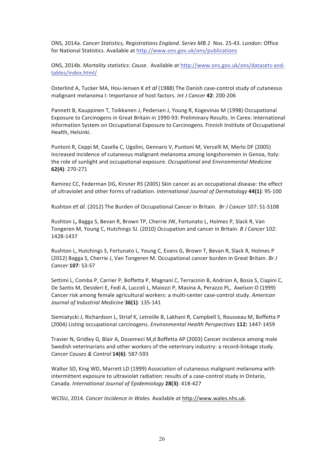ONS, 2014a. Cancer Statistics, Registrations England. Series MB.1 Nos. 25-43. London: Office for National Statistics. Available at http://www.ons.gov.uk/ons/publications

ONS, 2014b. Mortality statistics: Cause. Available at http://www.ons.gov.uk/ons/datasets-andtables/index.html/

Osterlind A, Tucker MA, Hou-Jensen K et al (1988) The Danish case-control study of cutaneous malignant melanoma I: Importance of host factors. *Int J Cancer* 42: 200-206

Pannett B, Kauppinen T, Toikkanen J, Pedersen J, Young R, Kogevinas M (1998) Occupational Exposure to Carcinogens in Great Britain in 1990-93: Preliminary Results. In Carex: International Information System on Occupational Exposure to Carcinogens. Finnish Institute of Occupational Health, Helsinki.

Puntoni R, Ceppi M, Casella C, Ugolini, Gennaro V, Puntoni M, Vercelli M, Merlo DF (2005) Increased incidence of cutaneous malignant melanoma among longshoremen in Genoa, Italy: the role of sunlight and occupational exposure. Occupational and Environmental Medicine **62(4)**: 270-271

Ramirez CC, Federman DG, Kirsner RS (2005) Skin cancer as an occupational disease: the effect of ultraviolet and other forms of radiation. *International Journal of Dermatology* 44(1): 95-100

Rushton *et al.* (2012) The Burden of Occupational Cancer in Britain. *Br J Cancer* 107: S1-S108

Rushton L, Bagga S, Bevan R, Brown TP, Cherrie JW, Fortunato L, Holmes P, Slack R, Van Tongeren M, Young C, Hutchings SJ. (2010) Occupation and cancer in Britain. *B J Cancer* 102: 1428-1437

Rushton L, Hutchings S, Fortunato L, Young C, Evans G, Brown T, Bevan R, Slack R, Holmes P (2012) Bagga S, Cherrie J, Van Tongeren M. Occupational cancer burden in Great Britain. *Br J Cancer* **107**: S3-S7

Settimi L, Comba P, Carrier P, Boffetta P, Magnani C, Terracinin B, Andrion A, Bosia S, Ciapini C, De Santis M, Desideri E, Fedi A, Luccoli L, Maiozzi P, Masina A, Perazzo PL, Axelson O (1999) Cancer risk among female agricultural workers: a multi-center case-control study. American Journal of Industrial Medicine **36(1)**: 135-141

Siemiatycki J, Richardson L, Striaf K, Letreille B, Lakhani R, Campbell S, Rousseau M, Boffetta P (2004) Listing occupational carcinogens. *Environmental Health Perspectives* 112: 1447-1459

Travier N, Gridley G, Blair A, Dosemeci M,d Boffetta AP (2003) Cancer incidence among male Swedish veterinarians and other workers of the veterinary industry: a record-linkage study. *Cancer Causes & Control* **14(6)**: 587-593

Walter SD, King WD, Marrett LD (1999) Association of cutaneous malignant melanoma with intermittent exposure to ultraviolet radiation: results of a case-control study in Ontario, Canada. *International Journal of Epidemiology* **28(3)**: 418-427

WCISU, 2014. Cancer Incidence in Wales. Available at http://www.wales.nhs.uk.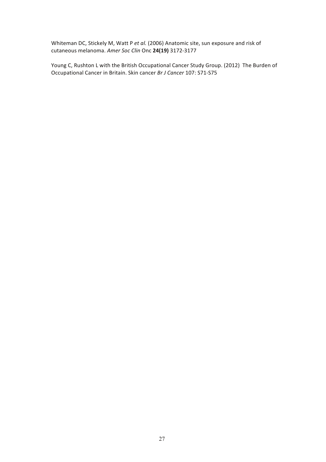Whiteman DC, Stickely M, Watt P et al. (2006) Anatomic site, sun exposure and risk of cutaneous melanoma. *Amer Soc Clin* Onc **24(19)** 3172-3177

Young C, Rushton L with the British Occupational Cancer Study Group. (2012) The Burden of Occupational Cancer in Britain. Skin cancer *Br J Cancer* 107: S71-S75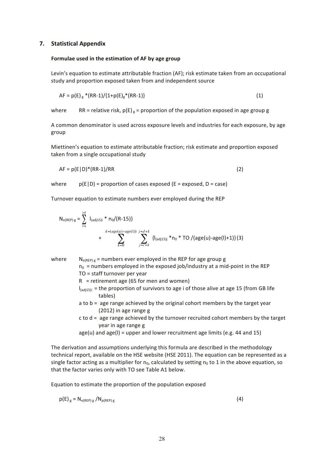#### **7. Statistical Appendix**

#### Formulae used in the estimation of AF by age group

Levin's equation to estimate attributable fraction (AF); risk estimate taken from an occupational study and proportion exposed taken from and independent source

$$
AF = p(E)_{g} * (RR-1)/(1+p(E)_{g} * (RR-1))
$$
\n(1)

where RR = relative risk,  $p(E)_{g}$  = proportion of the population exposed in age group g

A common denominator is used across exposure levels and industries for each exposure, by age group

Miettinen's equation to estimate attributable fraction; risk estimate and proportion exposed taken from a single occupational study

$$
AF = p(E|D) * (RR-1)/RR
$$
 (2)

where  $p(E|D)$  = proportion of cases exposed (E = exposed, D = case)

Turnover equation to estimate numbers ever employed during the REP

$$
N_{e(REP)g} = \sum_{i=a}^{i=b} I_{(adj15)i} * n_0 / (R-15) \}
$$
  
+ 
$$
k = (age(u) - age(1)) j = d + k
$$
  
+ 
$$
\sum_{k=0}^{k = (age(u) - age(1))} \sum_{j=c+k}^{j=d+k} \{I_{(adj15)j} * n_0 * TO / (age(u) - age(l) + 1)\} (3)
$$

where  $N_{e(REP)g}$  = numbers ever employed in the REP for age group g  $n_0$  = numbers employed in the exposed job/industry at a mid-point in the REP TO = staff turnover per year  $R =$  retirement age (65 for men and women)  $I_{\text{[adi15]i}}$  = the proportion of survivors to age i of those alive at age 15 (from GB life tables) a to  $b = a$ ge range achieved by the original cohort members by the target year  $(2012)$  in age range g  $c$  to  $d = a$ ge range achieved by the turnover recruited cohort members by the target year in age range g age(u) and  $age(1) = upper$  and lower recruitment age limits (e.g. 44 and 15)

The derivation and assumptions underlying this formula are described in the methodology technical report, available on the HSE website (HSE 2011). The equation can be represented as a single factor acting as a multiplier for  $n_0$ , calculated by setting  $n_0$  to 1 in the above equation, so that the factor varies only with TO see Table A1 below.

Equation to estimate the proportion of the population exposed

$$
p(E)_{g} = N_{e(REP)g} / N_{p(REP)g}
$$
 (4)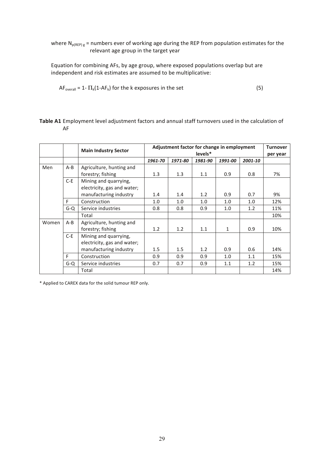where  $N_{p(REP) g}$  = numbers ever of working age during the REP from population estimates for the relevant age group in the target year

Equation for combining AFs, by age group, where exposed populations overlap but are independent and risk estimates are assumed to be multiplicative:

$$
AF_{\text{overall}} = 1 - \Pi_k(1 - AF_k) \text{ for the k exposures in the set } (5)
$$

#### Table A1 Employment level adjustment factors and annual staff turnovers used in the calculation of AF

|       |         | <b>Main Industry Sector</b> | Adjustment factor for change in employment | <b>Turnover</b> |         |         |         |          |
|-------|---------|-----------------------------|--------------------------------------------|-----------------|---------|---------|---------|----------|
|       |         |                             | levels*                                    |                 |         |         |         | per year |
|       |         |                             | 1961-70                                    | 1971-80         | 1981-90 | 1991-00 | 2001-10 |          |
| Men   | $A - B$ | Agriculture, hunting and    |                                            |                 |         |         |         |          |
|       |         | forestry; fishing           | 1.3                                        | 1.3             | 1.1     | 0.9     | 0.8     | 7%       |
|       | $C-E$   | Mining and quarrying,       |                                            |                 |         |         |         |          |
|       |         | electricity, gas and water; |                                            |                 |         |         |         |          |
|       |         | manufacturing industry      | 1.4                                        | 1.4             | 1.2     | 0.9     | 0.7     | 9%       |
|       | F       | Construction                | 1.0                                        | 1.0             | 1.0     | 1.0     | 1.0     | 12%      |
|       | $G - Q$ | Service industries          | 0.8                                        | 0.8             | 0.9     | 1.0     | 1.2     | 11%      |
|       |         | Total                       |                                            |                 |         |         |         | 10%      |
| Women | $A - B$ | Agriculture, hunting and    |                                            |                 |         |         |         |          |
|       |         | forestry; fishing           | 1.2                                        | 1.2             | 1.1     | 1       | 0.9     | 10%      |
|       | $C-E$   | Mining and quarrying,       |                                            |                 |         |         |         |          |
|       |         | electricity, gas and water; |                                            |                 |         |         |         |          |
|       |         | manufacturing industry      | 1.5                                        | 1.5             | 1.2     | 0.9     | 0.6     | 14%      |
|       | F       | Construction                | 0.9                                        | 0.9             | 0.9     | 1.0     | 1.1     | 15%      |
|       | $G - Q$ | Service industries          | 0.7                                        | 0.7             | 0.9     | 1.1     | 1.2     | 15%      |
|       |         | Total                       |                                            |                 |         |         |         | 14%      |

\* Applied to CAREX data for the solid tumour REP only.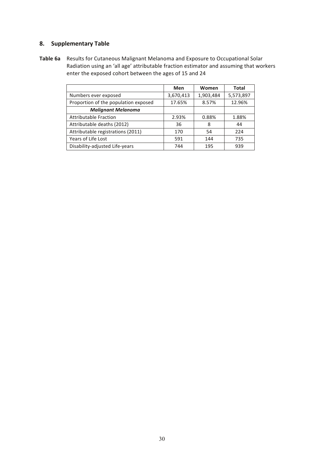#### **8. Supplementary Table**

Table 6a Results for Cutaneous Malignant Melanoma and Exposure to Occupational Solar Radiation using an 'all age' attributable fraction estimator and assuming that workers enter the exposed cohort between the ages of 15 and 24

|                                      | Men       | Women     | Total     |  |
|--------------------------------------|-----------|-----------|-----------|--|
| Numbers ever exposed                 | 3,670,413 | 1,903,484 | 5,573,897 |  |
| Proportion of the population exposed | 17.65%    | 8.57%     | 12.96%    |  |
| <b>Malignant Melanoma</b>            |           |           |           |  |
| <b>Attributable Fraction</b>         | 2.93%     | 0.88%     | 1.88%     |  |
| Attributable deaths (2012)           | 36        | 8         | 44        |  |
| Attributable registrations (2011)    | 170       | 54        | 224       |  |
| Years of Life Lost                   | 591       | 144       | 735       |  |
| Disability-adjusted Life-years       | 744       | 195       | 939       |  |